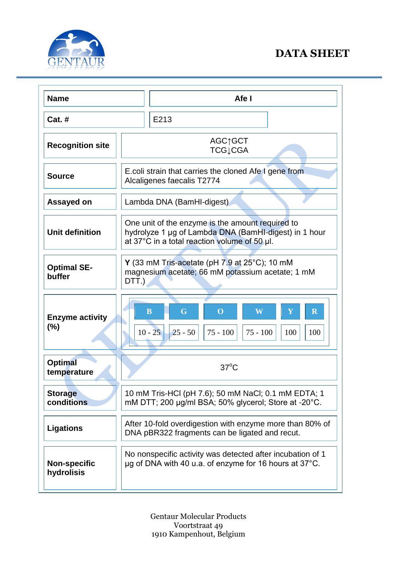

## **DATA SHEET**

| <b>Name</b>                       | Afe I                                                                                                                                                     |
|-----------------------------------|-----------------------------------------------------------------------------------------------------------------------------------------------------------|
| <b>Cat. #</b>                     | E213                                                                                                                                                      |
| <b>Recognition site</b>           | AGC↑GCT<br><b>TCG</b> <sub>↓</sub> CGA                                                                                                                    |
| <b>Source</b>                     | E.coli strain that carries the cloned Afe I gene from<br>Alcaligenes faecalis T2774                                                                       |
| Assayed on                        | Lambda DNA (BamHI-digest)                                                                                                                                 |
| <b>Unit definition</b>            | One unit of the enzyme is the amount required to<br>hydrolyze 1 µg of Lambda DNA (BamHI-digest) in 1 hour<br>at 37°C in a total reaction volume of 50 µl. |
| <b>Optimal SE-</b><br>buffer      | Y (33 mM Tris-acetate (pH $7.9$ at $25^{\circ}$ C); 10 mM<br>magnesium acetate; 66 mM potassium acetate; 1 mM<br>DTT.)                                    |
| <b>Enzyme activity</b><br>(%)     | $\mathbf G$<br>$\mathbf{Y}$<br>$\overline{\mathbf{R}}$<br>$\bf{B}$<br>W<br>$\bf{O}$<br>$75 - 100$<br>$75 - 100$<br>$10 - 25$<br>$25 - 50$<br>100<br>100   |
| <b>Optimal</b><br>temperature     | $37^{\circ}$ C                                                                                                                                            |
| <b>Storage</b><br>conditions      | 10 mM Tris-HCl (pH 7.6); 50 mM NaCl; 0.1 mM EDTA; 1<br>mM DTT; 200 µg/ml BSA; 50% glycerol; Store at -20°C.                                               |
| <b>Ligations</b>                  | After 10-fold overdigestion with enzyme more than 80% of<br>DNA pBR322 fragments can be ligated and recut.                                                |
| <b>Non-specific</b><br>hydrolisis | No nonspecific activity was detected after incubation of 1<br>$\mu$ g of DNA with 40 u.a. of enzyme for 16 hours at 37 $^{\circ}$ C.                      |

Gentaur Molecular Products Voortstraat 49 1910 Kampenhout, Belgium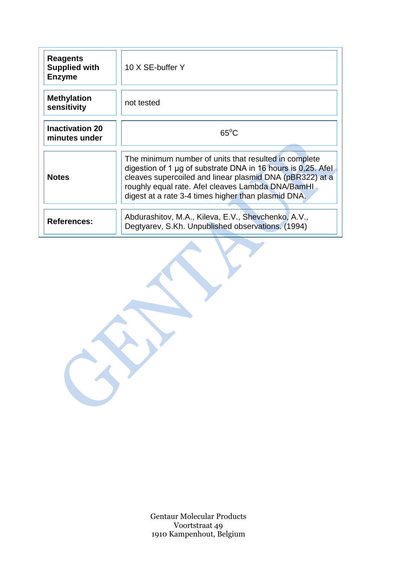| <b>Reagents</b><br><b>Supplied with</b><br><b>Enzyme</b> | 10 X SE-buffer Y                                                                                                                                                                                                                                                                                   |
|----------------------------------------------------------|----------------------------------------------------------------------------------------------------------------------------------------------------------------------------------------------------------------------------------------------------------------------------------------------------|
| <b>Methylation</b><br>sensitivity                        | not tested                                                                                                                                                                                                                                                                                         |
| <b>Inactivation 20</b><br>minutes under                  | $65^{\circ}$ C                                                                                                                                                                                                                                                                                     |
| <b>Notes</b>                                             | The minimum number of units that resulted in complete<br>digestion of 1 $\mu$ g of substrate DNA in 16 hours is 0,25. Afel<br>cleaves supercoiled and linear plasmid DNA (pBR322) at a<br>roughly equal rate. Afel cleaves Lambda DNA/BamHI<br>digest at a rate 3-4 times higher than plasmid DNA. |
| <b>References:</b>                                       | Abdurashitov, M.A., Kileva, E.V., Shevchenko, A.V.,<br>Degtyarev, S.Kh. Unpublished observations. (1994)                                                                                                                                                                                           |